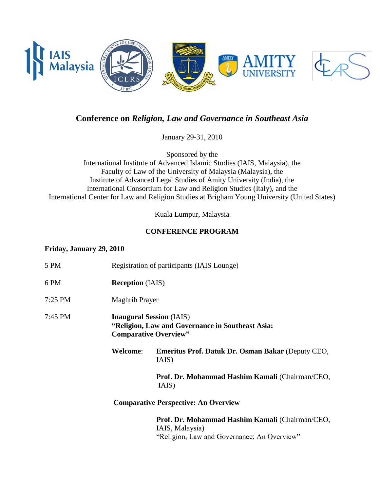

## **Conference on** *Religion, Law and Governance in Southeast Asia*

January 29-31, 2010

Sponsored by the International Institute of Advanced Islamic Studies (IAIS, Malaysia), the Faculty of Law of the University of Malaysia (Malaysia), the Institute of Advanced Legal Studies of Amity University (India), the International Consortium for Law and Religion Studies (Italy), and the International Center for Law and Religion Studies at Brigham Young University (United States)

Kuala Lumpur, Malaysia

## **CONFERENCE PROGRAM**

### **Friday, January 29, 2010**

| 5 PM              |                                                                                                                     | Registration of participants (IAIS Lounge)                         |
|-------------------|---------------------------------------------------------------------------------------------------------------------|--------------------------------------------------------------------|
| 6 PM              | <b>Reception</b> (IAIS)                                                                                             |                                                                    |
| $7:25$ PM         | Maghrib Prayer                                                                                                      |                                                                    |
| $7:45 \text{ PM}$ | <b>Inaugural Session</b> (IAIS)<br>"Religion, Law and Governance in Southeast Asia:<br><b>Comparative Overview"</b> |                                                                    |
|                   | <b>Welcome:</b>                                                                                                     | <b>Emeritus Prof. Datuk Dr. Osman Bakar (Deputy CEO,</b><br>IAIS)  |
|                   |                                                                                                                     | Prof. Dr. Mohammad Hashim Kamali (Chairman/CEO,<br>IAIS)           |
|                   |                                                                                                                     | <b>Comparative Perspective: An Overview</b>                        |
|                   |                                                                                                                     | Prof. Dr. Mohammad Hashim Kamali (Chairman/CEO,<br>IAIS, Malaysia) |

"Religion, Law and Governance: An Overview"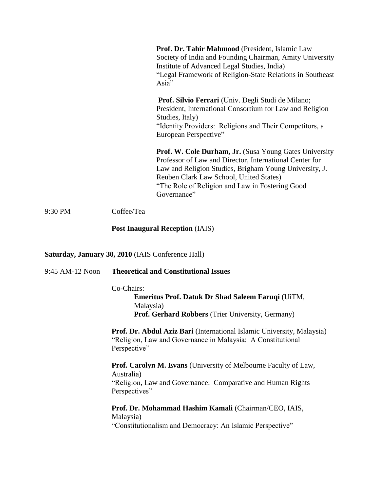|         |            | Prof. Dr. Tahir Mahmood (President, Islamic Law<br>Society of India and Founding Chairman, Amity University<br>Institute of Advanced Legal Studies, India)<br>"Legal Framework of Religion-State Relations in Southeast<br>Asia"                                                                 |
|---------|------------|--------------------------------------------------------------------------------------------------------------------------------------------------------------------------------------------------------------------------------------------------------------------------------------------------|
|         |            | <b>Prof. Silvio Ferrari</b> (Univ. Degli Studi de Milano;<br>President, International Consortium for Law and Religion<br>Studies, Italy)<br>"Identity Providers: Religions and Their Competitors, a<br>European Perspective"                                                                     |
|         |            | <b>Prof. W. Cole Durham, Jr.</b> (Susa Young Gates University<br>Professor of Law and Director, International Center for<br>Law and Religion Studies, Brigham Young University, J.<br>Reuben Clark Law School, United States)<br>"The Role of Religion and Law in Fostering Good"<br>Governance" |
| 9:30 PM | Coffee/Tea |                                                                                                                                                                                                                                                                                                  |

# **Post Inaugural Reception** (IAIS)

# **Saturday, January 30, 2010** (IAIS Conference Hall)

| 9:45 AM-12 Noon | <b>Theoretical and Constitutional Issues</b>                                                                                                          |  |
|-----------------|-------------------------------------------------------------------------------------------------------------------------------------------------------|--|
|                 | Co-Chairs:                                                                                                                                            |  |
|                 | <b>Emeritus Prof. Datuk Dr Shad Saleem Faruqi (UiTM,</b><br>Malaysia)                                                                                 |  |
|                 | <b>Prof. Gerhard Robbers</b> (Trier University, Germany)                                                                                              |  |
|                 | Prof. Dr. Abdul Aziz Bari (International Islamic University, Malaysia)<br>"Religion, Law and Governance in Malaysia: A Constitutional<br>Perspective" |  |
|                 | <b>Prof. Carolyn M. Evans</b> (University of Melbourne Faculty of Law,<br>Australia)                                                                  |  |
|                 | "Religion, Law and Governance: Comparative and Human Rights<br>Perspectives"                                                                          |  |
|                 | Prof. Dr. Mohammad Hashim Kamali (Chairman/CEO, IAIS,<br>Malaysia)                                                                                    |  |
|                 | "Constitutionalism and Democracy: An Islamic Perspective"                                                                                             |  |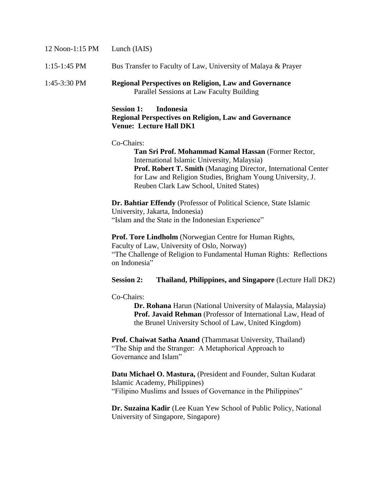| 12 Noon-1:15 PM | Lunch (IAIS)                                                                                                                                                                                                                                                                                |  |
|-----------------|---------------------------------------------------------------------------------------------------------------------------------------------------------------------------------------------------------------------------------------------------------------------------------------------|--|
| $1:15-1:45$ PM  | Bus Transfer to Faculty of Law, University of Malaya & Prayer                                                                                                                                                                                                                               |  |
| 1:45-3:30 PM    | <b>Regional Perspectives on Religion, Law and Governance</b><br>Parallel Sessions at Law Faculty Building                                                                                                                                                                                   |  |
|                 | <b>Session 1:</b><br><b>Indonesia</b><br><b>Regional Perspectives on Religion, Law and Governance</b><br><b>Venue: Lecture Hall DK1</b>                                                                                                                                                     |  |
|                 | Co-Chairs:<br>Tan Sri Prof. Mohammad Kamal Hassan (Former Rector,<br>International Islamic University, Malaysia)<br>Prof. Robert T. Smith (Managing Director, International Center<br>for Law and Religion Studies, Brigham Young University, J.<br>Reuben Clark Law School, United States) |  |
|                 | Dr. Bahtiar Effendy (Professor of Political Science, State Islamic<br>University, Jakarta, Indonesia)<br>"Islam and the State in the Indonesian Experience"                                                                                                                                 |  |
|                 | Prof. Tore Lindholm (Norwegian Centre for Human Rights,<br>Faculty of Law, University of Oslo, Norway)<br>"The Challenge of Religion to Fundamental Human Rights: Reflections<br>on Indonesia"                                                                                              |  |
|                 | Thailand, Philippines, and Singapore (Lecture Hall DK2)<br><b>Session 2:</b>                                                                                                                                                                                                                |  |
|                 | Co-Chairs:<br>Dr. Rohana Harun (National University of Malaysia, Malaysia)<br>Prof. Javaid Rehman (Professor of International Law, Head of<br>the Brunel University School of Law, United Kingdom)                                                                                          |  |
|                 | Prof. Chaiwat Satha Anand (Thammasat University, Thailand)<br>"The Ship and the Stranger: A Metaphorical Approach to<br>Governance and Islam"                                                                                                                                               |  |
|                 | Datu Michael O. Mastura, (President and Founder, Sultan Kudarat<br>Islamic Academy, Philippines)<br>"Filipino Muslims and Issues of Governance in the Philippines"                                                                                                                          |  |
|                 | Dr. Suzaina Kadir (Lee Kuan Yew School of Public Policy, National<br>University of Singapore, Singapore)                                                                                                                                                                                    |  |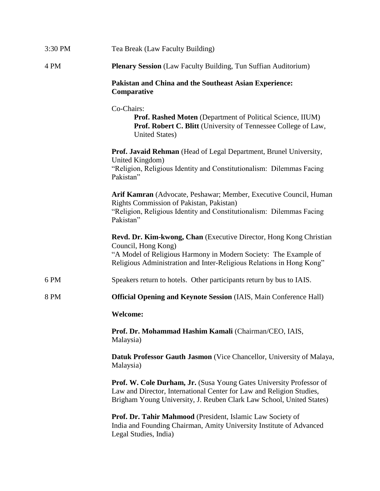| 3:30 PM | Tea Break (Law Faculty Building)                                                                                                                                                                                                            |
|---------|---------------------------------------------------------------------------------------------------------------------------------------------------------------------------------------------------------------------------------------------|
| 4 PM    | <b>Plenary Session</b> (Law Faculty Building, Tun Suffian Auditorium)                                                                                                                                                                       |
|         | Pakistan and China and the Southeast Asian Experience:<br>Comparative                                                                                                                                                                       |
|         | Co-Chairs:<br>Prof. Rashed Moten (Department of Political Science, IIUM)<br>Prof. Robert C. Blitt (University of Tennessee College of Law,<br><b>United States</b> )                                                                        |
|         | Prof. Javaid Rehman (Head of Legal Department, Brunel University,<br>United Kingdom)<br>"Religion, Religious Identity and Constitutionalism: Dilemmas Facing<br>Pakistan"                                                                   |
|         | Arif Kamran (Advocate, Peshawar; Member, Executive Council, Human<br>Rights Commission of Pakistan, Pakistan)<br>"Religion, Religious Identity and Constitutionalism: Dilemmas Facing<br>Pakistan"                                          |
|         | <b>Revd. Dr. Kim-kwong, Chan</b> (Executive Director, Hong Kong Christian<br>Council, Hong Kong)<br>"A Model of Religious Harmony in Modern Society: The Example of<br>Religious Administration and Inter-Religious Relations in Hong Kong" |
| 6 PM    | Speakers return to hotels. Other participants return by bus to IAIS.                                                                                                                                                                        |
| 8 PM    | <b>Official Opening and Keynote Session (IAIS, Main Conference Hall)</b>                                                                                                                                                                    |
|         | <b>Welcome:</b>                                                                                                                                                                                                                             |
|         | Prof. Dr. Mohammad Hashim Kamali (Chairman/CEO, IAIS,<br>Malaysia)                                                                                                                                                                          |
|         | Datuk Professor Gauth Jasmon (Vice Chancellor, University of Malaya,<br>Malaysia)                                                                                                                                                           |
|         | <b>Prof. W. Cole Durham, Jr.</b> (Susa Young Gates University Professor of<br>Law and Director, International Center for Law and Religion Studies,<br>Brigham Young University, J. Reuben Clark Law School, United States)                  |
|         | Prof. Dr. Tahir Mahmood (President, Islamic Law Society of<br>India and Founding Chairman, Amity University Institute of Advanced<br>Legal Studies, India)                                                                                  |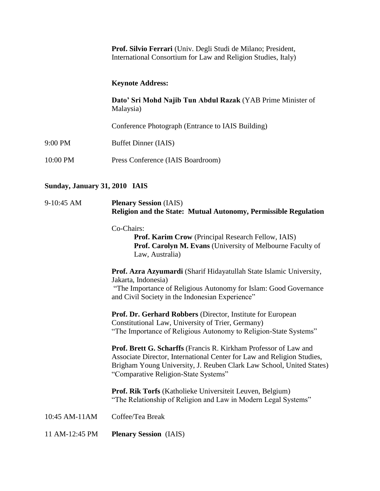| <b>Prof. Silvio Ferrari</b> (Univ. Degli Studi de Milano; President, |  |
|----------------------------------------------------------------------|--|
| International Consortium for Law and Religion Studies, Italy)        |  |

## **Keynote Address:**

**Dato' Sri Mohd Najib Tun Abdul Razak** (YAB Prime Minister of Malaysia)

Conference Photograph (Entrance to IAIS Building)

- 9:00 PM Buffet Dinner (IAIS)
- 10:00 PM Press Conference (IAIS Boardroom)

## **Sunday, January 31, 2010 IAIS**

| 9-10:45 AM     | <b>Plenary Session</b> (IAIS)<br>Religion and the State: Mutual Autonomy, Permissible Regulation                                                                                                                                                                  |  |
|----------------|-------------------------------------------------------------------------------------------------------------------------------------------------------------------------------------------------------------------------------------------------------------------|--|
|                | Co-Chairs:<br>Prof. Karim Crow (Principal Research Fellow, IAIS)<br>Prof. Carolyn M. Evans (University of Melbourne Faculty of<br>Law, Australia)                                                                                                                 |  |
|                | Prof. Azra Azyumardi (Sharif Hidayatullah State Islamic University,<br>Jakarta, Indonesia)<br>"The Importance of Religious Autonomy for Islam: Good Governance<br>and Civil Society in the Indonesian Experience"                                                 |  |
|                | Prof. Dr. Gerhard Robbers (Director, Institute for European<br>Constitutional Law, University of Trier, Germany)<br>"The Importance of Religious Autonomy to Religion-State Systems"                                                                              |  |
|                | <b>Prof. Brett G. Scharffs</b> (Francis R. Kirkham Professor of Law and<br>Associate Director, International Center for Law and Religion Studies,<br>Brigham Young University, J. Reuben Clark Law School, United States)<br>"Comparative Religion-State Systems" |  |
|                | Prof. Rik Torfs (Katholieke Universiteit Leuven, Belgium)<br>"The Relationship of Religion and Law in Modern Legal Systems"                                                                                                                                       |  |
| 10:45 AM-11AM  | Coffee/Tea Break                                                                                                                                                                                                                                                  |  |
| 11 AM-12:45 PM | <b>Plenary Session</b> (IAIS)                                                                                                                                                                                                                                     |  |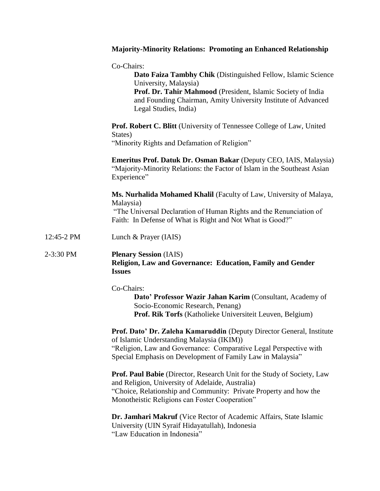|            | <b>Majority-Minority Relations: Promoting an Enhanced Relationship</b>                                                                                                                                                                                         |
|------------|----------------------------------------------------------------------------------------------------------------------------------------------------------------------------------------------------------------------------------------------------------------|
|            | Co-Chairs:<br>Dato Faiza Tambhy Chik (Distinguished Fellow, Islamic Science<br>University, Malaysia)<br>Prof. Dr. Tahir Mahmood (President, Islamic Society of India<br>and Founding Chairman, Amity University Institute of Advanced<br>Legal Studies, India) |
|            | <b>Prof. Robert C. Blitt</b> (University of Tennessee College of Law, United<br>States)<br>"Minority Rights and Defamation of Religion"                                                                                                                        |
|            | Emeritus Prof. Datuk Dr. Osman Bakar (Deputy CEO, IAIS, Malaysia)<br>"Majority-Minority Relations: the Factor of Islam in the Southeast Asian<br>Experience"                                                                                                   |
|            | Ms. Nurhalida Mohamed Khalil (Faculty of Law, University of Malaya,<br>Malaysia)<br>"The Universal Declaration of Human Rights and the Renunciation of<br>Faith: In Defense of What is Right and Not What is Good?"                                            |
| 12:45-2 PM | Lunch & Prayer (IAIS)                                                                                                                                                                                                                                          |
| 2-3:30 PM  | <b>Plenary Session</b> (IAIS)<br>Religion, Law and Governance: Education, Family and Gender<br><b>Issues</b>                                                                                                                                                   |
|            | Co-Chairs:<br>Dato' Professor Wazir Jahan Karim (Consultant, Academy of<br>Socio-Economic Research, Penang)<br>Prof. Rik Torfs (Katholieke Universiteit Leuven, Belgium)                                                                                       |
|            | Prof. Dato' Dr. Zaleha Kamaruddin (Deputy Director General, Institute<br>of Islamic Understanding Malaysia (IKIM))<br>"Religion, Law and Governance: Comparative Legal Perspective with<br>Special Emphasis on Development of Family Law in Malaysia"          |
|            | <b>Prof. Paul Babie</b> (Director, Research Unit for the Study of Society, Law<br>and Religion, University of Adelaide, Australia)<br>"Choice, Relationship and Community: Private Property and how the<br>Monotheistic Religions can Foster Cooperation"      |
|            | Dr. Jamhari Makruf (Vice Rector of Academic Affairs, State Islamic<br>University (UIN Syraif Hidayatullah), Indonesia<br>"Law Education in Indonesia"                                                                                                          |